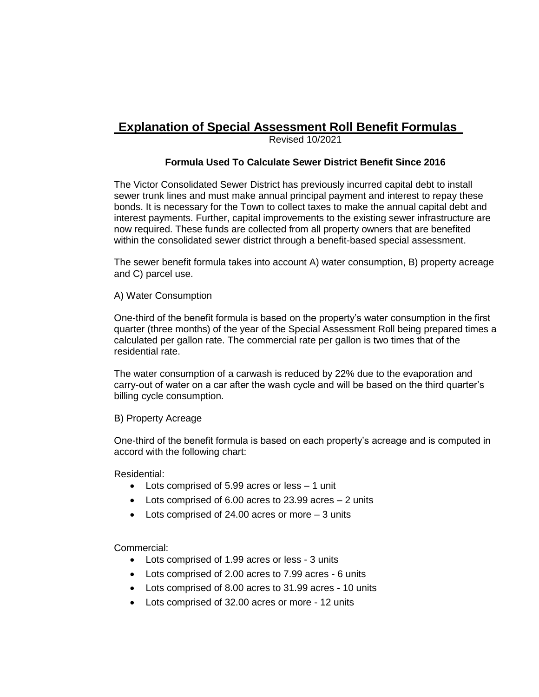# **Explanation of Special Assessment Roll Benefit Formulas**

Revised 10/2021

### **Formula Used To Calculate Sewer District Benefit Since 2016**

The Victor Consolidated Sewer District has previously incurred capital debt to install sewer trunk lines and must make annual principal payment and interest to repay these bonds. It is necessary for the Town to collect taxes to make the annual capital debt and interest payments. Further, capital improvements to the existing sewer infrastructure are now required. These funds are collected from all property owners that are benefited within the consolidated sewer district through a benefit-based special assessment.

The sewer benefit formula takes into account A) water consumption, B) property acreage and C) parcel use.

#### A) Water Consumption

One-third of the benefit formula is based on the property's water consumption in the first quarter (three months) of the year of the Special Assessment Roll being prepared times a calculated per gallon rate. The commercial rate per gallon is two times that of the residential rate.

The water consumption of a carwash is reduced by 22% due to the evaporation and carry-out of water on a car after the wash cycle and will be based on the third quarter's billing cycle consumption.

#### B) Property Acreage

One-third of the benefit formula is based on each property's acreage and is computed in accord with the following chart:

Residential:

- Lots comprised of 5.99 acres or less 1 unit
- Lots comprised of 6.00 acres to 23.99 acres 2 units
- $\bullet$  Lots comprised of 24.00 acres or more  $-3$  units

Commercial:

- Lots comprised of 1.99 acres or less 3 units
- Lots comprised of 2.00 acres to 7.99 acres 6 units
- Lots comprised of 8.00 acres to 31.99 acres 10 units
- Lots comprised of 32.00 acres or more 12 units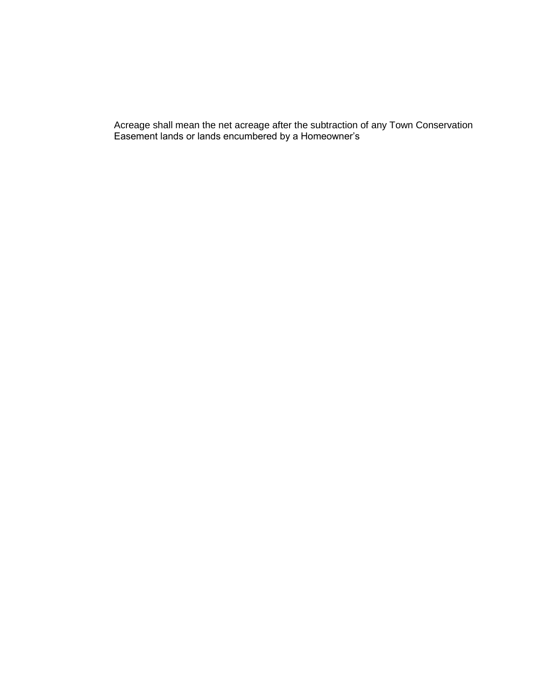Acreage shall mean the net acreage after the subtraction of any Town Conservation Easement lands or lands encumbered by a Homeowner's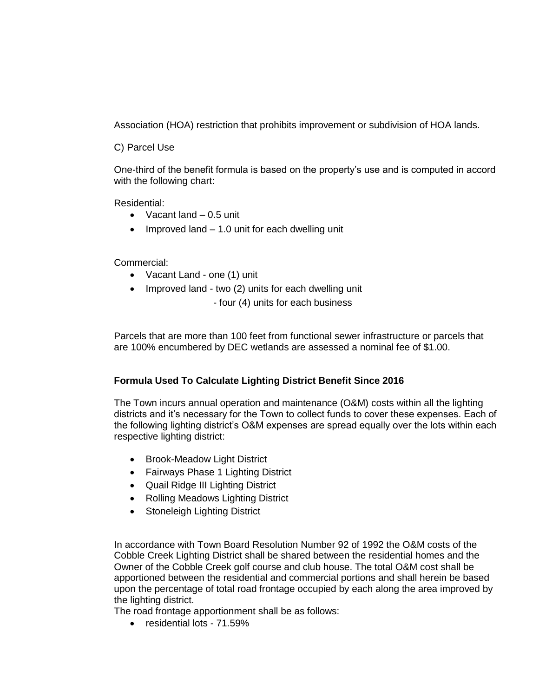Association (HOA) restriction that prohibits improvement or subdivision of HOA lands.

C) Parcel Use

One-third of the benefit formula is based on the property's use and is computed in accord with the following chart:

Residential:

- $\bullet$  Vacant land  $-0.5$  unit
- Improved land  $-1.0$  unit for each dwelling unit

Commercial:

- Vacant Land one (1) unit
- Improved land two (2) units for each dwelling unit

- four (4) units for each business

Parcels that are more than 100 feet from functional sewer infrastructure or parcels that are 100% encumbered by DEC wetlands are assessed a nominal fee of \$1.00.

## **Formula Used To Calculate Lighting District Benefit Since 2016**

The Town incurs annual operation and maintenance (O&M) costs within all the lighting districts and it's necessary for the Town to collect funds to cover these expenses. Each of the following lighting district's O&M expenses are spread equally over the lots within each respective lighting district:

- Brook-Meadow Light District
- Fairways Phase 1 Lighting District
- Quail Ridge III Lighting District
- Rolling Meadows Lighting District
- Stoneleigh Lighting District

In accordance with Town Board Resolution Number 92 of 1992 the O&M costs of the Cobble Creek Lighting District shall be shared between the residential homes and the Owner of the Cobble Creek golf course and club house. The total O&M cost shall be apportioned between the residential and commercial portions and shall herein be based upon the percentage of total road frontage occupied by each along the area improved by the lighting district.

The road frontage apportionment shall be as follows:

• residential lots - 71.59%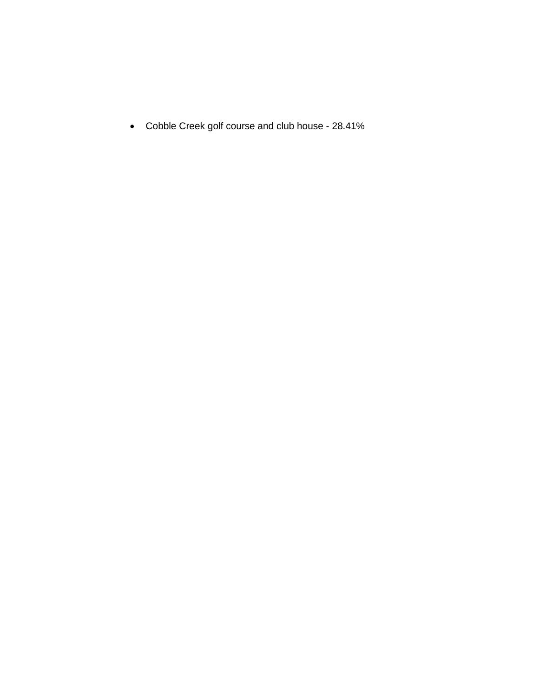Cobble Creek golf course and club house - 28.41%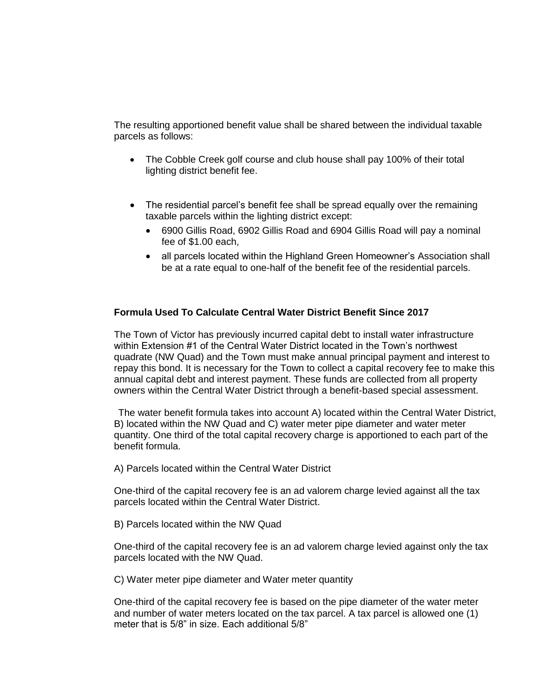The resulting apportioned benefit value shall be shared between the individual taxable parcels as follows:

- The Cobble Creek golf course and club house shall pay 100% of their total lighting district benefit fee.
- The residential parcel's benefit fee shall be spread equally over the remaining taxable parcels within the lighting district except:
	- 6900 Gillis Road, 6902 Gillis Road and 6904 Gillis Road will pay a nominal fee of \$1.00 each,
	- all parcels located within the Highland Green Homeowner's Association shall be at a rate equal to one-half of the benefit fee of the residential parcels.

#### **Formula Used To Calculate Central Water District Benefit Since 2017**

The Town of Victor has previously incurred capital debt to install water infrastructure within Extension #1 of the Central Water District located in the Town's northwest quadrate (NW Quad) and the Town must make annual principal payment and interest to repay this bond. It is necessary for the Town to collect a capital recovery fee to make this annual capital debt and interest payment. These funds are collected from all property owners within the Central Water District through a benefit-based special assessment.

The water benefit formula takes into account A) located within the Central Water District, B) located within the NW Quad and C) water meter pipe diameter and water meter quantity. One third of the total capital recovery charge is apportioned to each part of the benefit formula.

A) Parcels located within the Central Water District

One-third of the capital recovery fee is an ad valorem charge levied against all the tax parcels located within the Central Water District.

B) Parcels located within the NW Quad

One-third of the capital recovery fee is an ad valorem charge levied against only the tax parcels located with the NW Quad.

C) Water meter pipe diameter and Water meter quantity

One-third of the capital recovery fee is based on the pipe diameter of the water meter and number of water meters located on the tax parcel. A tax parcel is allowed one (1) meter that is 5/8" in size. Each additional 5/8"